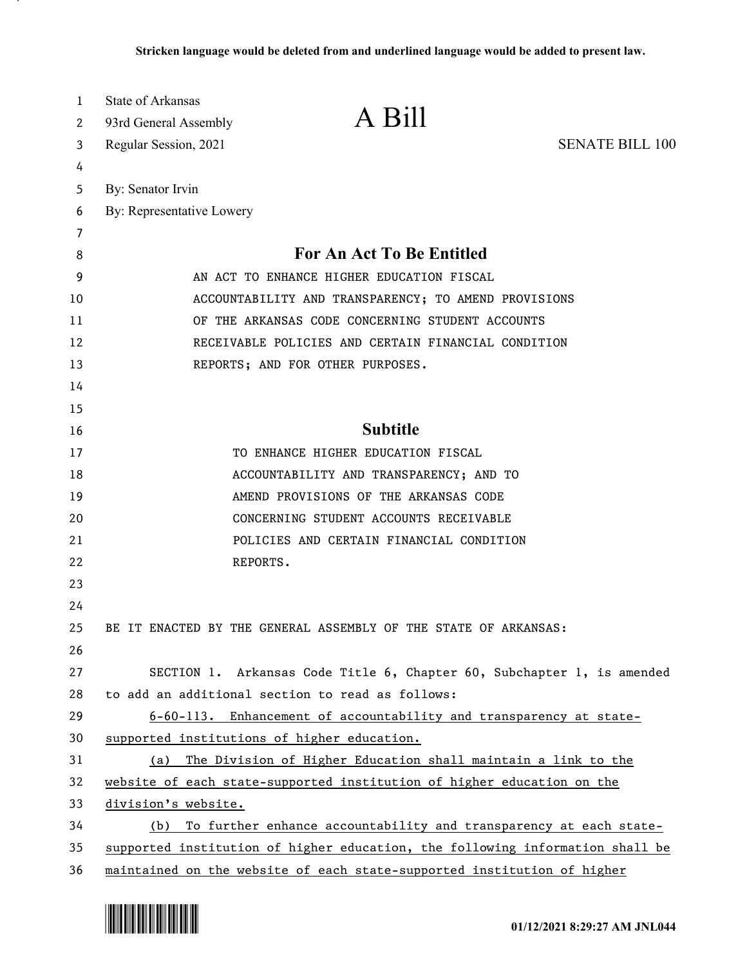| A Bill<br>93rd General Assembly<br>2<br><b>SENATE BILL 100</b><br>Regular Session, 2021<br>3<br>4<br>By: Senator Irvin<br>5<br>By: Representative Lowery<br>6<br>7<br><b>For An Act To Be Entitled</b><br>8<br>9<br>AN ACT TO ENHANCE HIGHER EDUCATION FISCAL<br>ACCOUNTABILITY AND TRANSPARENCY; TO AMEND PROVISIONS<br>10<br>OF THE ARKANSAS CODE CONCERNING STUDENT ACCOUNTS<br>11 |  |
|---------------------------------------------------------------------------------------------------------------------------------------------------------------------------------------------------------------------------------------------------------------------------------------------------------------------------------------------------------------------------------------|--|
|                                                                                                                                                                                                                                                                                                                                                                                       |  |
|                                                                                                                                                                                                                                                                                                                                                                                       |  |
|                                                                                                                                                                                                                                                                                                                                                                                       |  |
|                                                                                                                                                                                                                                                                                                                                                                                       |  |
|                                                                                                                                                                                                                                                                                                                                                                                       |  |
|                                                                                                                                                                                                                                                                                                                                                                                       |  |
|                                                                                                                                                                                                                                                                                                                                                                                       |  |
|                                                                                                                                                                                                                                                                                                                                                                                       |  |
|                                                                                                                                                                                                                                                                                                                                                                                       |  |
| RECEIVABLE POLICIES AND CERTAIN FINANCIAL CONDITION<br>12                                                                                                                                                                                                                                                                                                                             |  |
| 13<br>REPORTS; AND FOR OTHER PURPOSES.                                                                                                                                                                                                                                                                                                                                                |  |
| 14                                                                                                                                                                                                                                                                                                                                                                                    |  |
| 15                                                                                                                                                                                                                                                                                                                                                                                    |  |
| <b>Subtitle</b><br>16                                                                                                                                                                                                                                                                                                                                                                 |  |
| 17<br>TO ENHANCE HIGHER EDUCATION FISCAL                                                                                                                                                                                                                                                                                                                                              |  |
| 18<br>ACCOUNTABILITY AND TRANSPARENCY; AND TO                                                                                                                                                                                                                                                                                                                                         |  |
| 19<br>AMEND PROVISIONS OF THE ARKANSAS CODE                                                                                                                                                                                                                                                                                                                                           |  |
| 20<br>CONCERNING STUDENT ACCOUNTS RECEIVABLE                                                                                                                                                                                                                                                                                                                                          |  |
| 21<br>POLICIES AND CERTAIN FINANCIAL CONDITION                                                                                                                                                                                                                                                                                                                                        |  |
| 22<br>REPORTS.                                                                                                                                                                                                                                                                                                                                                                        |  |
| 23                                                                                                                                                                                                                                                                                                                                                                                    |  |
| 24                                                                                                                                                                                                                                                                                                                                                                                    |  |
| 25<br>BE IT ENACTED BY THE GENERAL ASSEMBLY OF THE STATE OF ARKANSAS:                                                                                                                                                                                                                                                                                                                 |  |
| 26                                                                                                                                                                                                                                                                                                                                                                                    |  |
| 27<br>SECTION 1. Arkansas Code Title 6, Chapter 60, Subchapter 1, is amended                                                                                                                                                                                                                                                                                                          |  |
| to add an additional section to read as follows:<br>28                                                                                                                                                                                                                                                                                                                                |  |
| 29<br>6-60-113. Enhancement of accountability and transparency at state-                                                                                                                                                                                                                                                                                                              |  |
| supported institutions of higher education.<br>30                                                                                                                                                                                                                                                                                                                                     |  |
| 31<br>(a) The Division of Higher Education shall maintain a link to the                                                                                                                                                                                                                                                                                                               |  |
| website of each state-supported institution of higher education on the<br>32                                                                                                                                                                                                                                                                                                          |  |
| 33<br>division's website.                                                                                                                                                                                                                                                                                                                                                             |  |
| 34<br>(b) To further enhance accountability and transparency at each state-                                                                                                                                                                                                                                                                                                           |  |
| 35<br>supported institution of higher education, the following information shall be<br>maintained on the website of each state-supported institution of higher<br>36                                                                                                                                                                                                                  |  |

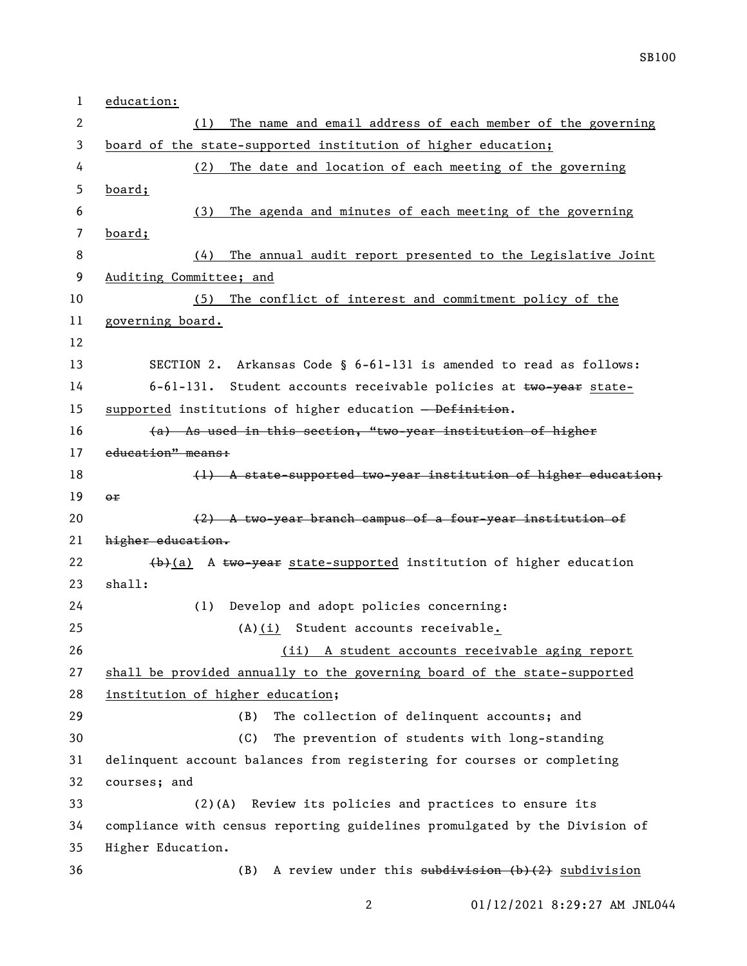| 1  | education:                                                                            |
|----|---------------------------------------------------------------------------------------|
| 2  | The name and email address of each member of the governing<br>(1)                     |
| 3  | board of the state-supported institution of higher education;                         |
| 4  | The date and location of each meeting of the governing<br>(2)                         |
| 5  | board;                                                                                |
| 6  | The agenda and minutes of each meeting of the governing<br>(3)                        |
| 7  | board;                                                                                |
| 8  | The annual audit report presented to the Legislative Joint<br>(4)                     |
| 9  | Auditing Committee; and                                                               |
| 10 | The conflict of interest and commitment policy of the<br>(5)                          |
| 11 | governing board.                                                                      |
| 12 |                                                                                       |
| 13 | SECTION 2. Arkansas Code § 6-61-131 is amended to read as follows:                    |
| 14 | 6-61-131. Student accounts receivable policies at two-year state-                     |
| 15 | supported institutions of higher education - Definition.                              |
| 16 | (a) As used in this section, "two-year institution of higher                          |
| 17 | education" means:                                                                     |
| 18 | (1) A state-supported two-year institution of higher education;                       |
| 19 | or                                                                                    |
| 20 | (2) A two-year branch campus of a four-year institution of                            |
| 21 | higher education.                                                                     |
| 22 | $\left(\frac{b}{a}\right)$ A two-year state-supported institution of higher education |
| 23 | shall:                                                                                |
| 24 | (1) Develop and adopt policies concerning:                                            |
| 25 | (A)(i) Student accounts receivable.                                                   |
| 26 | (ii) A student accounts receivable aging report                                       |
| 27 | shall be provided annually to the governing board of the state-supported              |
| 28 | institution of higher education;                                                      |
| 29 | The collection of delinquent accounts; and<br>(B)                                     |
| 30 | The prevention of students with long-standing<br>(C)                                  |
| 31 | delinquent account balances from registering for courses or completing                |
| 32 | courses; and                                                                          |
| 33 | Review its policies and practices to ensure its<br>$(2)$ (A)                          |
| 34 | compliance with census reporting guidelines promulgated by the Division of            |
| 35 | Higher Education.                                                                     |
| 36 | A review under this subdivision (b)(2) subdivision<br>(B)                             |

2 01/12/2021 8:29:27 AM JNL044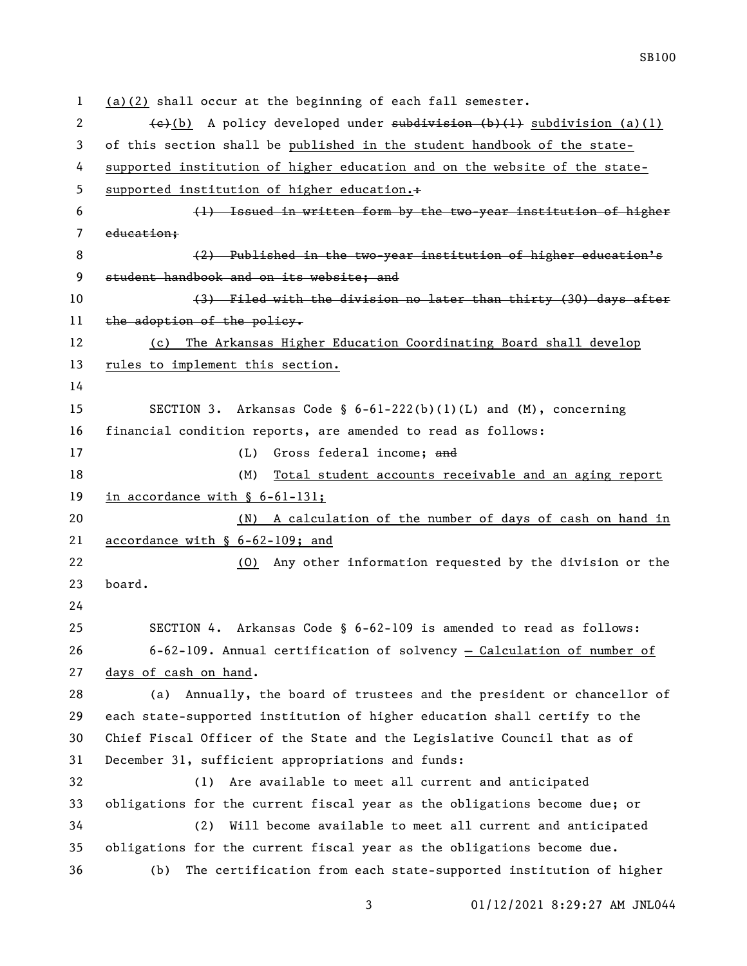(a)(2) shall occur at the beginning of each fall semester. 2 (e)(b) A policy developed under subdivision (b)(1) subdivision (a)(1) of this section shall be published in the student handbook of the state- supported institution of higher education and on the website of the state-5 supported institution of higher education.+ (1) Issued in written form by the two-year institution of higher education; 8 (2) Published in the two-year institution of higher education's 9 student handbook and on its website; and 10 (3) Filed with the division no later than thirty (30) days after 11 the adoption of the policy. (c) The Arkansas Higher Education Coordinating Board shall develop rules to implement this section. SECTION 3. Arkansas Code § 6-61-222(b)(1)(L) and (M), concerning financial condition reports, are amended to read as follows: 17 (L) Gross federal income; and (M) Total student accounts receivable and an aging report in accordance with § 6-61-131; (N) A calculation of the number of days of cash on hand in accordance with § 6-62-109; and (O) Any other information requested by the division or the board. SECTION 4. Arkansas Code § 6-62-109 is amended to read as follows: 6-62-109. Annual certification of solvency — Calculation of number of days of cash on hand. (a) Annually, the board of trustees and the president or chancellor of each state-supported institution of higher education shall certify to the Chief Fiscal Officer of the State and the Legislative Council that as of December 31, sufficient appropriations and funds: (1) Are available to meet all current and anticipated obligations for the current fiscal year as the obligations become due; or (2) Will become available to meet all current and anticipated obligations for the current fiscal year as the obligations become due. (b) The certification from each state-supported institution of higher

01/12/2021 8:29:27 AM JNL044

SB100